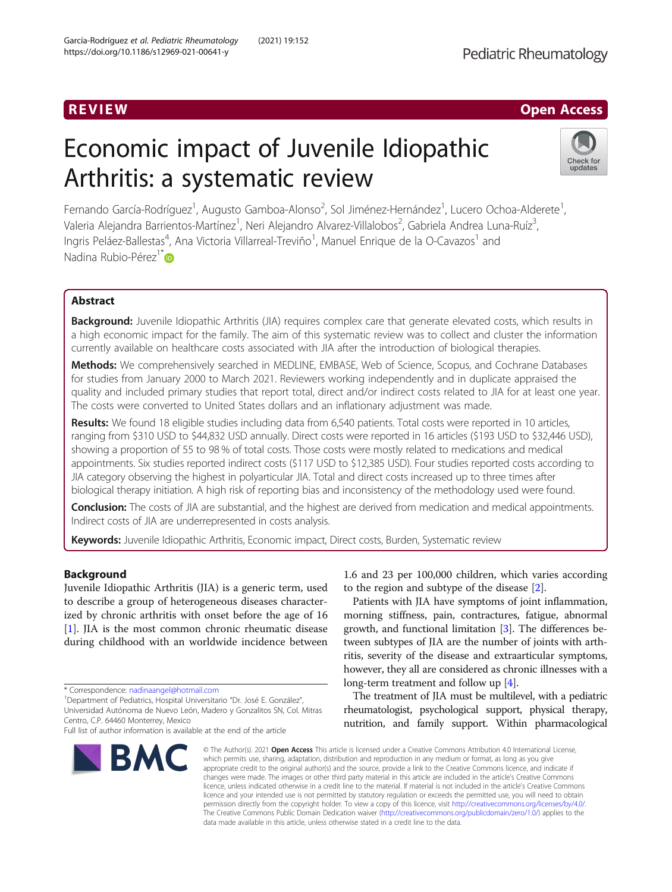# R EVI EW Open Access

# Economic impact of Juvenile Idiopathic Arthritis: a systematic review



Fernando García-Rodríguez<sup>1</sup>, Augusto Gamboa-Alonso<sup>2</sup>, Sol Jiménez-Hernández<sup>1</sup>, Lucero Ochoa-Alderete<sup>1</sup> , Valeria Alejandra Barrientos-Martínez<sup>1</sup>, Neri Alejandro Alvarez-Villalobos<sup>2</sup>, Gabriela Andrea Luna-Ruíz<sup>3</sup> , Ingris Peláez-Ballestas<sup>4</sup>, Ana Victoria Villarreal-Treviño<sup>1</sup>, Manuel Enrique de la O-Cavazos<sup>1</sup> and Nadina Rubio-Pérez<sup>1\*</sup>

# Abstract

Background: Juvenile Idiopathic Arthritis (JIA) requires complex care that generate elevated costs, which results in a high economic impact for the family. The aim of this systematic review was to collect and cluster the information currently available on healthcare costs associated with JIA after the introduction of biological therapies.

Methods: We comprehensively searched in MEDLINE, EMBASE, Web of Science, Scopus, and Cochrane Databases for studies from January 2000 to March 2021. Reviewers working independently and in duplicate appraised the quality and included primary studies that report total, direct and/or indirect costs related to JIA for at least one year. The costs were converted to United States dollars and an inflationary adjustment was made.

Results: We found 18 eligible studies including data from 6,540 patients. Total costs were reported in 10 articles, ranging from \$310 USD to \$44,832 USD annually. Direct costs were reported in 16 articles (\$193 USD to \$32,446 USD), showing a proportion of 55 to 98 % of total costs. Those costs were mostly related to medications and medical appointments. Six studies reported indirect costs (\$117 USD to \$12,385 USD). Four studies reported costs according to JIA category observing the highest in polyarticular JIA. Total and direct costs increased up to three times after biological therapy initiation. A high risk of reporting bias and inconsistency of the methodology used were found.

Conclusion: The costs of JIA are substantial, and the highest are derived from medication and medical appointments. Indirect costs of JIA are underrepresented in costs analysis.

Keywords: Juvenile Idiopathic Arthritis, Economic impact, Direct costs, Burden, Systematic review

# Background

Juvenile Idiopathic Arthritis (JIA) is a generic term, used to describe a group of heterogeneous diseases characterized by chronic arthritis with onset before the age of 16 [[1\]](#page-8-0). JIA is the most common chronic rheumatic disease during childhood with an worldwide incidence between

Full list of author information is available at the end of the article



1.6 and 23 per 100,000 children, which varies according to the region and subtype of the disease [\[2](#page-8-0)].

Patients with JIA have symptoms of joint inflammation, morning stiffness, pain, contractures, fatigue, abnormal growth, and functional limitation [\[3\]](#page-8-0). The differences between subtypes of JIA are the number of joints with arthritis, severity of the disease and extraarticular symptoms, however, they all are considered as chronic illnesses with a long-term treatment and follow up [[4\]](#page-8-0).

The treatment of JIA must be multilevel, with a pediatric rheumatologist, psychological support, physical therapy, nutrition, and family support. Within pharmacological

© The Author(s), 2021 **Open Access** This article is licensed under a Creative Commons Attribution 4.0 International License, which permits use, sharing, adaptation, distribution and reproduction in any medium or format, as long as you give appropriate credit to the original author(s) and the source, provide a link to the Creative Commons licence, and indicate if changes were made. The images or other third party material in this article are included in the article's Creative Commons licence, unless indicated otherwise in a credit line to the material. If material is not included in the article's Creative Commons licence and your intended use is not permitted by statutory regulation or exceeds the permitted use, you will need to obtain permission directly from the copyright holder. To view a copy of this licence, visit [http://creativecommons.org/licenses/by/4.0/.](http://creativecommons.org/licenses/by/4.0/) The Creative Commons Public Domain Dedication waiver [\(http://creativecommons.org/publicdomain/zero/1.0/](http://creativecommons.org/publicdomain/zero/1.0/)) applies to the data made available in this article, unless otherwise stated in a credit line to the data.

<sup>\*</sup> Correspondence: [nadinaangel@hotmail.com](mailto:nadinaangel@hotmail.com) <sup>1</sup>

<sup>&</sup>lt;sup>1</sup>Department of Pediatrics, Hospital Universitario "Dr. José E. González", Universidad Autónoma de Nuevo León, Madero y Gonzalitos SN, Col. Mitras Centro, C.P. 64460 Monterrey, Mexico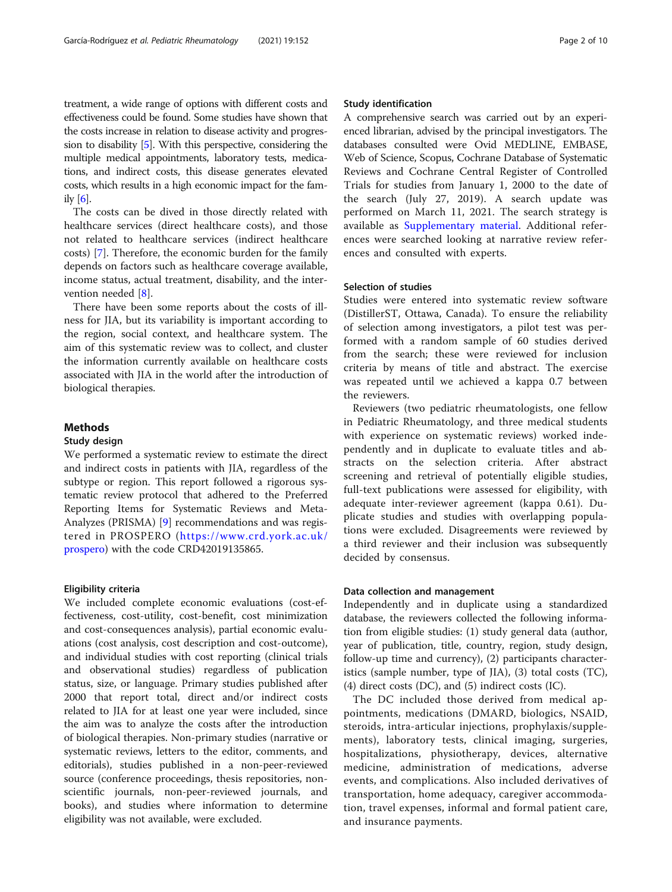treatment, a wide range of options with different costs and effectiveness could be found. Some studies have shown that the costs increase in relation to disease activity and progression to disability [[5](#page-8-0)]. With this perspective, considering the multiple medical appointments, laboratory tests, medications, and indirect costs, this disease generates elevated costs, which results in a high economic impact for the family  $[6]$ .

The costs can be dived in those directly related with healthcare services (direct healthcare costs), and those not related to healthcare services (indirect healthcare costs) [\[7](#page-8-0)]. Therefore, the economic burden for the family depends on factors such as healthcare coverage available, income status, actual treatment, disability, and the intervention needed [\[8](#page-8-0)].

There have been some reports about the costs of illness for JIA, but its variability is important according to the region, social context, and healthcare system. The aim of this systematic review was to collect, and cluster the information currently available on healthcare costs associated with JIA in the world after the introduction of biological therapies.

# Methods

# Study design

We performed a systematic review to estimate the direct and indirect costs in patients with JIA, regardless of the subtype or region. This report followed a rigorous systematic review protocol that adhered to the Preferred Reporting Items for Systematic Reviews and Meta-Analyzes (PRISMA) [\[9](#page-8-0)] recommendations and was registered in PROSPERO ([https://www.crd.york.ac.uk/](https://www.crd.york.ac.uk/prospero) [prospero\)](https://www.crd.york.ac.uk/prospero) with the code CRD42019135865.

### Eligibility criteria

We included complete economic evaluations (cost-effectiveness, cost-utility, cost-benefit, cost minimization and cost-consequences analysis), partial economic evaluations (cost analysis, cost description and cost-outcome), and individual studies with cost reporting (clinical trials and observational studies) regardless of publication status, size, or language. Primary studies published after 2000 that report total, direct and/or indirect costs related to JIA for at least one year were included, since the aim was to analyze the costs after the introduction of biological therapies. Non-primary studies (narrative or systematic reviews, letters to the editor, comments, and editorials), studies published in a non-peer-reviewed source (conference proceedings, thesis repositories, nonscientific journals, non-peer-reviewed journals, and books), and studies where information to determine eligibility was not available, were excluded.

# Study identification

A comprehensive search was carried out by an experienced librarian, advised by the principal investigators. The databases consulted were Ovid MEDLINE, EMBASE, Web of Science, Scopus, Cochrane Database of Systematic Reviews and Cochrane Central Register of Controlled Trials for studies from January 1, 2000 to the date of the search (July 27, 2019). A search update was performed on March 11, 2021. The search strategy is available as [Supplementary material.](#page-8-0) Additional references were searched looking at narrative review references and consulted with experts.

# Selection of studies

Studies were entered into systematic review software (DistillerST, Ottawa, Canada). To ensure the reliability of selection among investigators, a pilot test was performed with a random sample of 60 studies derived from the search; these were reviewed for inclusion criteria by means of title and abstract. The exercise was repeated until we achieved a kappa 0.7 between the reviewers.

Reviewers (two pediatric rheumatologists, one fellow in Pediatric Rheumatology, and three medical students with experience on systematic reviews) worked independently and in duplicate to evaluate titles and abstracts on the selection criteria. After abstract screening and retrieval of potentially eligible studies, full-text publications were assessed for eligibility, with adequate inter-reviewer agreement (kappa 0.61). Duplicate studies and studies with overlapping populations were excluded. Disagreements were reviewed by a third reviewer and their inclusion was subsequently decided by consensus.

# Data collection and management

Independently and in duplicate using a standardized database, the reviewers collected the following information from eligible studies: (1) study general data (author, year of publication, title, country, region, study design, follow-up time and currency), (2) participants characteristics (sample number, type of JIA), (3) total costs (TC), (4) direct costs (DC), and (5) indirect costs (IC).

The DC included those derived from medical appointments, medications (DMARD, biologics, NSAID, steroids, intra-articular injections, prophylaxis/supplements), laboratory tests, clinical imaging, surgeries, hospitalizations, physiotherapy, devices, alternative medicine, administration of medications, adverse events, and complications. Also included derivatives of transportation, home adequacy, caregiver accommodation, travel expenses, informal and formal patient care, and insurance payments.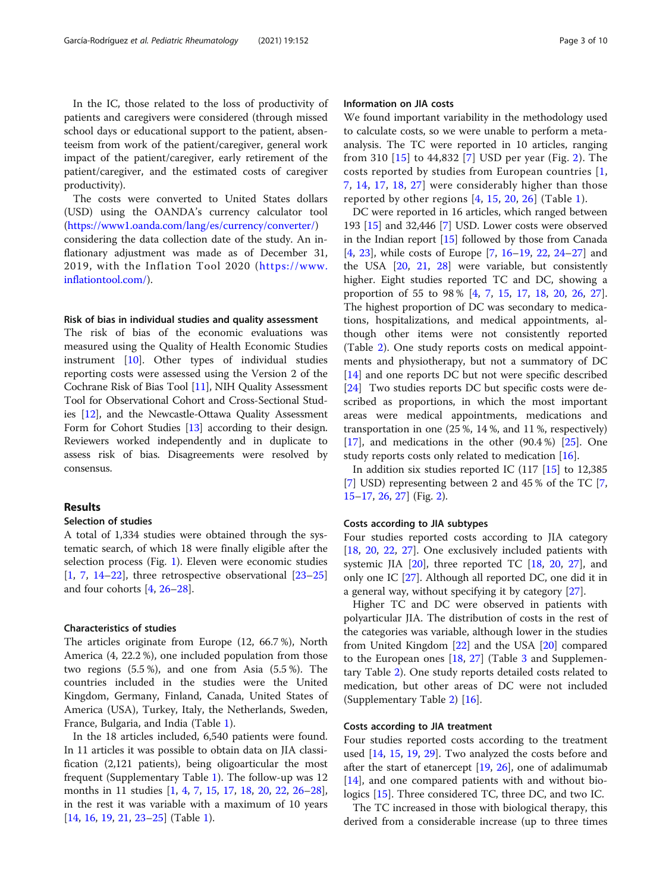In the IC, those related to the loss of productivity of patients and caregivers were considered (through missed school days or educational support to the patient, absenteeism from work of the patient/caregiver, general work impact of the patient/caregiver, early retirement of the patient/caregiver, and the estimated costs of caregiver productivity).

The costs were converted to United States dollars (USD) using the OANDA's currency calculator tool (<https://www1.oanda.com/lang/es/currency/converter/>)

considering the data collection date of the study. An inflationary adjustment was made as of December 31, 2019, with the Inflation Tool 2020 ([https://www.](https://www.inflationtool.com/) [inflationtool.com/](https://www.inflationtool.com/)).

#### Risk of bias in individual studies and quality assessment

The risk of bias of the economic evaluations was measured using the Quality of Health Economic Studies instrument [\[10\]](#page-8-0). Other types of individual studies reporting costs were assessed using the Version 2 of the Cochrane Risk of Bias Tool [[11](#page-8-0)], NIH Quality Assessment Tool for Observational Cohort and Cross-Sectional Studies [\[12\]](#page-8-0), and the Newcastle-Ottawa Quality Assessment Form for Cohort Studies [\[13\]](#page-8-0) according to their design. Reviewers worked independently and in duplicate to assess risk of bias. Disagreements were resolved by consensus.

# Results

# Selection of studies

A total of 1,334 studies were obtained through the systematic search, of which 18 were finally eligible after the selection process (Fig. [1\)](#page-3-0). Eleven were economic studies  $[1, 7, 14-22]$  $[1, 7, 14-22]$  $[1, 7, 14-22]$  $[1, 7, 14-22]$  $[1, 7, 14-22]$  $[1, 7, 14-22]$  $[1, 7, 14-22]$  $[1, 7, 14-22]$  $[1, 7, 14-22]$ , three retrospective observational  $[23-25]$  $[23-25]$  $[23-25]$  $[23-25]$  $[23-25]$ and four cohorts [\[4](#page-8-0), [26](#page-9-0)–[28\]](#page-9-0).

# Characteristics of studies

The articles originate from Europe (12, 66.7 %), North America (4, 22.2 %), one included population from those two regions (5.5 %), and one from Asia (5.5 %). The countries included in the studies were the United Kingdom, Germany, Finland, Canada, United States of America (USA), Turkey, Italy, the Netherlands, Sweden, France, Bulgaria, and India (Table [1\)](#page-4-0).

In the 18 articles included, 6,540 patients were found. In 11 articles it was possible to obtain data on JIA classification (2,121 patients), being oligoarticular the most frequent (Supplementary Table [1\)](#page-8-0). The follow-up was 12 months in 11 studies [[1,](#page-8-0) [4](#page-8-0), [7,](#page-8-0) [15](#page-9-0), [17,](#page-9-0) [18](#page-9-0), [20,](#page-9-0) [22](#page-9-0), [26](#page-9-0)–[28](#page-9-0)], in the rest it was variable with a maximum of 10 years [[14,](#page-9-0) [16,](#page-9-0) [19](#page-9-0), [21](#page-9-0), [23](#page-9-0)–[25](#page-9-0)] (Table [1](#page-4-0)).

# Information on JIA costs

We found important variability in the methodology used to calculate costs, so we were unable to perform a metaanalysis. The TC were reported in 10 articles, ranging from 310 [\[15\]](#page-9-0) to 44,832 [\[7\]](#page-8-0) USD per year (Fig. [2](#page-5-0)). The costs reported by studies from European countries [\[1](#page-8-0), [7,](#page-8-0) [14,](#page-9-0) [17](#page-9-0), [18](#page-9-0), [27](#page-9-0)] were considerably higher than those reported by other regions [[4](#page-8-0), [15,](#page-9-0) [20,](#page-9-0) [26](#page-9-0)] (Table [1](#page-4-0)).

DC were reported in 16 articles, which ranged between 193 [[15](#page-9-0)] and 32,446 [[7](#page-8-0)] USD. Lower costs were observed in the Indian report [\[15](#page-9-0)] followed by those from Canada [[4,](#page-8-0) [23](#page-9-0)], while costs of Europe [[7,](#page-8-0) [16](#page-9-0)–[19,](#page-9-0) [22,](#page-9-0) [24](#page-9-0)–[27\]](#page-9-0) and the USA [[20](#page-9-0), [21](#page-9-0), [28](#page-9-0)] were variable, but consistently higher. Eight studies reported TC and DC, showing a proportion of 55 to 98 % [[4,](#page-8-0) [7](#page-8-0), [15,](#page-9-0) [17,](#page-9-0) [18](#page-9-0), [20,](#page-9-0) [26,](#page-9-0) [27](#page-9-0)]. The highest proportion of DC was secondary to medications, hospitalizations, and medical appointments, although other items were not consistently reported (Table [2\)](#page-6-0). One study reports costs on medical appointments and physiotherapy, but not a summatory of DC [[14\]](#page-9-0) and one reports DC but not were specific described [[24\]](#page-9-0) Two studies reports DC but specific costs were described as proportions, in which the most important areas were medical appointments, medications and transportation in one (25 %, 14 %, and 11 %, respectively)  $[17]$  $[17]$ , and medications in the other  $(90.4\%)$   $[25]$  $[25]$ . One study reports costs only related to medication [[16](#page-9-0)].

In addition six studies reported IC  $(117)$  [[15\]](#page-9-0) to 12,385 [[7\]](#page-8-0) USD) representing between 2 and 45 % of the TC [\[7](#page-8-0), [15](#page-9-0)–[17](#page-9-0), [26](#page-9-0), [27](#page-9-0)] (Fig. [2\)](#page-5-0).

# Costs according to JIA subtypes

Four studies reported costs according to JIA category [[18,](#page-9-0) [20,](#page-9-0) [22](#page-9-0), [27](#page-9-0)]. One exclusively included patients with systemic JIA  $[20]$ , three reported TC  $[18, 20, 27]$  $[18, 20, 27]$  $[18, 20, 27]$  $[18, 20, 27]$  $[18, 20, 27]$  $[18, 20, 27]$ , and only one IC [\[27](#page-9-0)]. Although all reported DC, one did it in a general way, without specifying it by category [\[27](#page-9-0)].

Higher TC and DC were observed in patients with polyarticular JIA. The distribution of costs in the rest of the categories was variable, although lower in the studies from United Kingdom [\[22\]](#page-9-0) and the USA [\[20](#page-9-0)] compared to the European ones [[18,](#page-9-0) [27](#page-9-0)] (Table [3](#page-7-0) and Supplementary Table [2\)](#page-8-0). One study reports detailed costs related to medication, but other areas of DC were not included (Supplementary Table [2](#page-8-0)) [\[16](#page-9-0)].

# Costs according to JIA treatment

Four studies reported costs according to the treatment used [[14,](#page-9-0) [15](#page-9-0), [19](#page-9-0), [29\]](#page-9-0). Two analyzed the costs before and after the start of etanercept [[19,](#page-9-0) [26\]](#page-9-0), one of adalimumab [[14\]](#page-9-0), and one compared patients with and without biologics [[15\]](#page-9-0). Three considered TC, three DC, and two IC.

The TC increased in those with biological therapy, this derived from a considerable increase (up to three times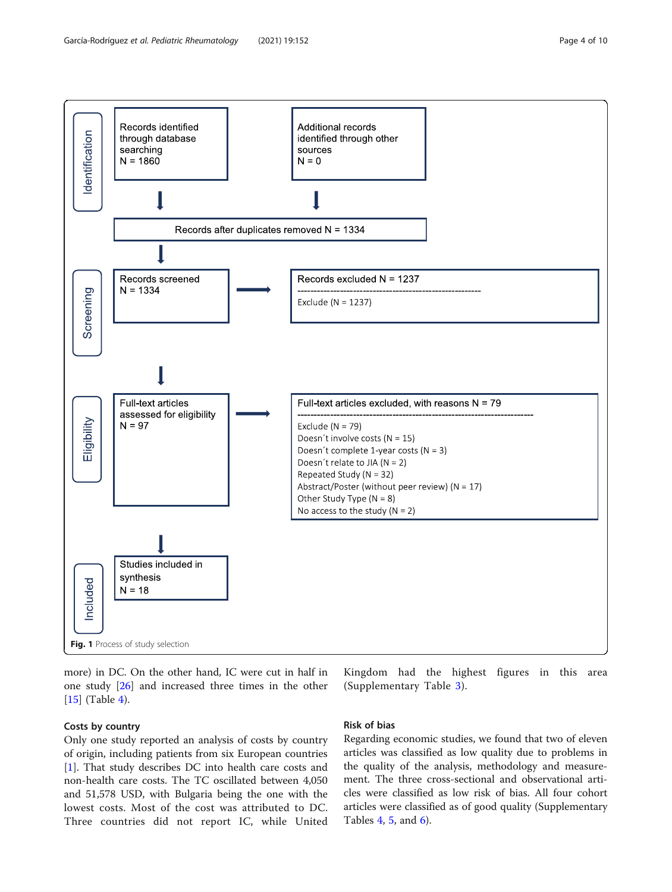<span id="page-3-0"></span>

Fig. 1 Process of study selection

more) in DC. On the other hand, IC were cut in half in one study [[26\]](#page-9-0) and increased three times in the other [[15\]](#page-9-0) (Table [4\)](#page-7-0).

# Costs by country

Only one study reported an analysis of costs by country of origin, including patients from six European countries [[1\]](#page-8-0). That study describes DC into health care costs and non-health care costs. The TC oscillated between 4,050 and 51,578 USD, with Bulgaria being the one with the lowest costs. Most of the cost was attributed to DC. Three countries did not report IC, while United

Kingdom had the highest figures in this area (Supplementary Table [3\)](#page-8-0).

# Risk of bias

Regarding economic studies, we found that two of eleven articles was classified as low quality due to problems in the quality of the analysis, methodology and measurement. The three cross-sectional and observational articles were classified as low risk of bias. All four cohort articles were classified as of good quality (Supplementary Tables [4](#page-8-0), [5](#page-8-0), and [6](#page-8-0)).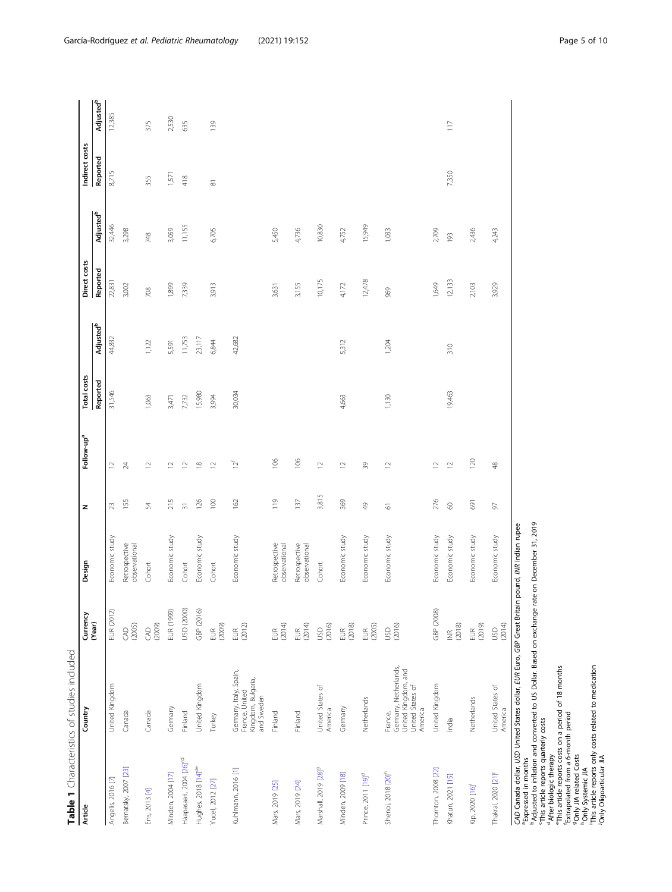<span id="page-4-0"></span>

|                                     | Table 1 Characteristics of studies included                                            |                             |                                |                 |                          |             |                             |              |                       |                     |                             |
|-------------------------------------|----------------------------------------------------------------------------------------|-----------------------------|--------------------------------|-----------------|--------------------------|-------------|-----------------------------|--------------|-----------------------|---------------------|-----------------------------|
| Article                             | Country                                                                                | Currency<br>(Year)          | Design                         | z               | Follow-up <sup>a</sup>   | Total costs |                             | Direct costs |                       | Indirect costs      |                             |
|                                     |                                                                                        |                             |                                |                 |                          | Reported    | <b>Adjusted<sup>b</sup></b> | Reported     | Adjusted <sup>b</sup> | Reported            | <b>Adjusted<sup>b</sup></b> |
| Angelis, 2016 [7]                   | United Kingdom                                                                         | EUR (2012)                  | Economic study                 | 23              | $\supseteq$              | 31,546      | 44,832                      | 22,831       | 32,446                | 8,715               | 12,385                      |
| Bernatsky, 2007 [23]                | Canada                                                                                 | (2005)<br>S                 | Retrospective<br>observational | 155             | $\overline{24}$          |             |                             | 3,002        | 3,298                 |                     |                             |
| Ens, 2013 [4]                       | Canada                                                                                 | (2009)<br>$\infty$          | Cohort                         | 54              | $\simeq$                 | 1,063       | 1,122                       | 708          | 748                   | 355                 | 375                         |
| Minden, 2004 [17]                   | Germany                                                                                | EUR (1999)                  | Economic study                 | 215             | $\approx$                | 3,471       | 5,591                       | 1,899        | 3,059                 | 1,571               | 2,530                       |
| Haapasaari, 2004 [26] <sup>cd</sup> | Finland                                                                                | USD (2000)                  | Cohort                         | $\overline{31}$ | $\overline{\phantom{a}}$ | 7,732       | 11,753                      | 7,339        | 11,155                | 418                 | 635                         |
| Hughes, 2018 [14] <sup>de</sup>     | United Kingdom                                                                         | GBP (2016)                  | Economic study                 | 126             | $\approx$                | 15,980      | 23,117                      |              |                       |                     |                             |
| Yucel, 2012 [27]                    | Turkey                                                                                 | (2009)<br>EUR               | Cohort                         | 100             | $\approx$                | 3,994       | 6,844                       | 3,913        | 6,705                 | $\overline{\infty}$ | 139                         |
| Kuhlmann, 2016 [1]                  | Germany, Italy, Spain,<br>Kingdom, Bulgaria,<br>France, United<br>and Sweden           | $EUR$<br>(2012)             | Economic study                 | 162             | $12^{\rm f}$             | 30,034      | 42,682                      |              |                       |                     |                             |
| Mars, 2019 [25]                     | Finland                                                                                | (2014)<br><b>EUR</b>        | Retrospective<br>observational | $\frac{9}{11}$  | 106                      |             |                             | 3,631        | 5,450                 |                     |                             |
| Mars, 2019 [24]                     | Finland                                                                                | (2014)<br>$\widetilde{\Xi}$ | Retrospective<br>observational | 137             | 106                      |             |                             | 3,155        | 4,736                 |                     |                             |
| Marshall, 2019 [28] <sup>9</sup>    | United States of<br>America                                                            | (2016)<br><b>SD</b>         | Cohort                         | 3,815           | $\supseteq$              |             |                             | 10,175       | 10,830                |                     |                             |
| Minden, 2009 [18]                   | Germany                                                                                | $EUR$<br>(2018)             | Economic study                 | 369             | $\simeq$                 | 4,663       | 5,312                       | 4,172        | 4,752                 |                     |                             |
| Prince, 2011 [19] <sup>d</sup>      | Netherlands                                                                            | EUR<br>(2005)               | Economic study                 | $\frac{6}{7}$   | 39                       |             |                             | 12,478       | 15,949                |                     |                             |
| Shenoi, 2018 [20] <sup>h</sup>      | Germany, Netherlands,<br>United Kingdom, and<br>United States of<br>America<br>France, | USD<br>(2016)               | Economic study                 | 61              | $\approx$                | 1,130       | 1,204                       | 969          | 1,033                 |                     |                             |
| Thornton, 2008 [22]                 | United Kingdom                                                                         | GBP (2008)                  | Economic study                 | 276             | $\supseteq$              |             |                             | 1,649        | 2,709                 |                     |                             |
| Khatun, 2021 [15]                   | India                                                                                  | (2018)<br>$\widetilde{\Xi}$ | Economic study                 | $\otimes$       | $\approx$                | 19,463      | 310                         | 12,133       | 193                   | 7,350               | $\frac{1}{2}$               |
| Kip, 2020 [16]                      | Netherlands                                                                            | EUR<br>(2019)               | Economic study                 | 691             | 120                      |             |                             | 2,103        | 2,436                 |                     |                             |
| Thakral, 2020 [21] <sup>j</sup>     | United States of<br>America                                                            | (2014)<br><b>SD</b>         | Economic study                 | 5               | $\frac{8}{3}$            |             |                             | 3,929        | 4,243                 |                     |                             |
|                                     | CAD Canada dollar. USD United States dollar. FUR Furo, GBP Great Britain               |                             | pound. INR Indian rupee        |                 |                          |             |                             |              |                       |                     |                             |

CAD Canada dollar, USD United States dollar, EUR Euro, GBP Great Britain pound, INR Indian rupee<br>Expressed in months

a Expression and money of the states of the states of the pressed in the species and money of the species of the species of the species of the species of the species of the species of the species of the species of the spec bAdjusted to inflation and converted to US Dollar. Based on exchange rate on December 31, 2019

cThis article reports quarterly costs

<sup>d</sup>After biologic therapy

eThis article reports costs on a period of 18 months

fExtrapolated from a 6-month period

gOnly JIA related Costs

hOnly Systemic JIA

iThis article reports only costs related to medication jOnly Oligoarticular JIA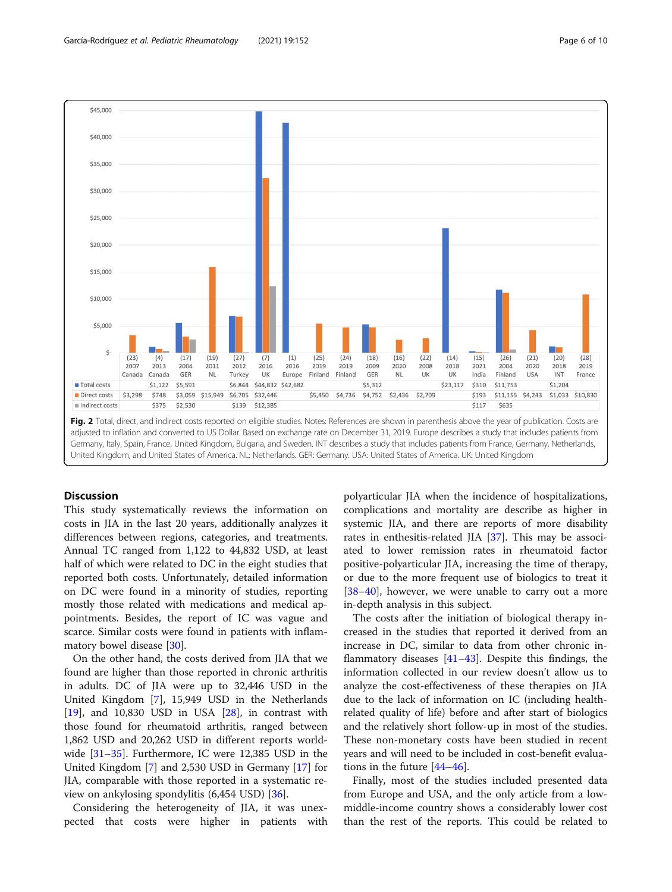<span id="page-5-0"></span>

# **Discussion**

This study systematically reviews the information on costs in JIA in the last 20 years, additionally analyzes it differences between regions, categories, and treatments. Annual TC ranged from 1,122 to 44,832 USD, at least half of which were related to DC in the eight studies that reported both costs. Unfortunately, detailed information on DC were found in a minority of studies, reporting mostly those related with medications and medical appointments. Besides, the report of IC was vague and scarce. Similar costs were found in patients with inflammatory bowel disease [\[30\]](#page-9-0).

On the other hand, the costs derived from JIA that we found are higher than those reported in chronic arthritis in adults. DC of JIA were up to 32,446 USD in the United Kingdom [\[7](#page-8-0)], 15,949 USD in the Netherlands  $[19]$  $[19]$ , and 10,830 USD in USA  $[28]$  $[28]$ , in contrast with those found for rheumatoid arthritis, ranged between 1,862 USD and 20,262 USD in different reports worldwide [[31](#page-9-0)–[35](#page-9-0)]. Furthermore, IC were 12,385 USD in the United Kingdom [[7](#page-8-0)] and 2,530 USD in Germany [[17\]](#page-9-0) for JIA, comparable with those reported in a systematic review on ankylosing spondylitis (6,454 USD) [[36\]](#page-9-0).

Considering the heterogeneity of JIA, it was unexpected that costs were higher in patients with polyarticular JIA when the incidence of hospitalizations, complications and mortality are describe as higher in systemic JIA, and there are reports of more disability rates in enthesitis-related JIA [[37\]](#page-9-0). This may be associated to lower remission rates in rheumatoid factor positive-polyarticular JIA, increasing the time of therapy, or due to the more frequent use of biologics to treat it [[38](#page-9-0)–[40](#page-9-0)], however, we were unable to carry out a more in-depth analysis in this subject.

The costs after the initiation of biological therapy increased in the studies that reported it derived from an increase in DC, similar to data from other chronic inflammatory diseases [\[41](#page-9-0)–[43\]](#page-9-0). Despite this findings, the information collected in our review doesn't allow us to analyze the cost-effectiveness of these therapies on JIA due to the lack of information on IC (including healthrelated quality of life) before and after start of biologics and the relatively short follow-up in most of the studies. These non-monetary costs have been studied in recent years and will need to be included in cost-benefit evaluations in the future [\[44](#page-9-0)–[46\]](#page-9-0).

Finally, most of the studies included presented data from Europe and USA, and the only article from a lowmiddle-income country shows a considerably lower cost than the rest of the reports. This could be related to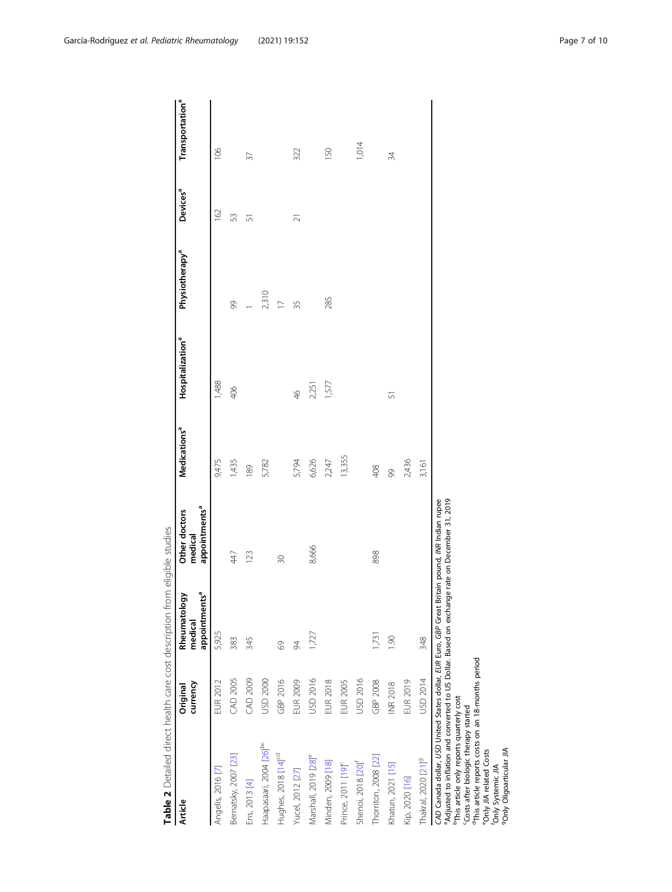<span id="page-6-0"></span>

| <b>Article</b>                                                                                                                                                                                                                                                                                                                                                                                                                                                | currency<br>Original | مٌ<br>Rheumatology<br>appointment<br>medical | appointments <sup>a</sup><br>Other doctors<br>medical | Medications <sup>a</sup> | Hospitalization <sup>a</sup> | Physiotherapy <sup>a</sup> | Devices <sup>a</sup> | Transportation <sup>a</sup> |
|---------------------------------------------------------------------------------------------------------------------------------------------------------------------------------------------------------------------------------------------------------------------------------------------------------------------------------------------------------------------------------------------------------------------------------------------------------------|----------------------|----------------------------------------------|-------------------------------------------------------|--------------------------|------------------------------|----------------------------|----------------------|-----------------------------|
| Angelis, 2016 [7]                                                                                                                                                                                                                                                                                                                                                                                                                                             | EUR 2012             | 5,925                                        |                                                       | 9,475                    | 1,488                        |                            | 162                  | 106                         |
| Bernatsky, 2007 [23]                                                                                                                                                                                                                                                                                                                                                                                                                                          | CAD 2005             | 383                                          | 447                                                   | 1,435                    | 406                          | 8                          | 53                   |                             |
| Ens, 2013 [4]                                                                                                                                                                                                                                                                                                                                                                                                                                                 | <b>CAD 2009</b>      | 345                                          | 123                                                   | 189                      |                              |                            | $\overline{5}$       | 37                          |
| Haapasaari, 2004 [26] <sup>bc</sup>                                                                                                                                                                                                                                                                                                                                                                                                                           | USD 2000             |                                              |                                                       | 5,782                    |                              | 2,310                      |                      |                             |
| Hughes, 2018 [14] <sup>cd</sup>                                                                                                                                                                                                                                                                                                                                                                                                                               | GBP 2016             | $\mathcal{S}^{\circ}$                        | $\overline{30}$                                       |                          |                              |                            |                      |                             |
| Yucel, 2012 [27]                                                                                                                                                                                                                                                                                                                                                                                                                                              | EUR 2009             | 94                                           |                                                       | 5,794                    | $\frac{4}{5}$                | 35                         | $\overline{21}$      | 322                         |
| Marshall, 2019 [28] <sup>e</sup>                                                                                                                                                                                                                                                                                                                                                                                                                              | USD 2016             | 1,727                                        | 8,666                                                 | 6,626                    | 2,251                        |                            |                      |                             |
| Minden, 2009 [18]                                                                                                                                                                                                                                                                                                                                                                                                                                             | <b>EUR 2018</b>      |                                              |                                                       | 2,247                    | 1,577                        | 285                        |                      | 150                         |
| Prince, 2011 [19] <sup>c</sup>                                                                                                                                                                                                                                                                                                                                                                                                                                | <b>EUR 2005</b>      |                                              |                                                       | 13,355                   |                              |                            |                      |                             |
| Shenoi, 2018 [20] <sup>f</sup>                                                                                                                                                                                                                                                                                                                                                                                                                                | USD 2016             |                                              |                                                       |                          |                              |                            |                      | 1,014                       |
| Thornton, 2008 [22]                                                                                                                                                                                                                                                                                                                                                                                                                                           | GBP 2008             | 1,731                                        | 898                                                   | 408                      |                              |                            |                      |                             |
| Khatun, 2021 [15]                                                                                                                                                                                                                                                                                                                                                                                                                                             | <b>INR 2018</b>      | $\overline{0}$                               |                                                       | 99                       | 57                           |                            |                      | 34                          |
| Kip, 2020 [16]                                                                                                                                                                                                                                                                                                                                                                                                                                                | <b>EUR 2019</b>      |                                              |                                                       | 2,436                    |                              |                            |                      |                             |
| Thakral, 2020 [21] <sup>9</sup>                                                                                                                                                                                                                                                                                                                                                                                                                               | USD 2014             | 348                                          |                                                       | 3,161                    |                              |                            |                      |                             |
| <sup>P</sup> Adjusted to inflation and converted to US Dollar. Based on exchange rate on December 31, 2019<br>CAD Canada dollar, USD United States dollar, EUR Euro, GBP Great Britain pound, INR Indian rupee<br><sup>d</sup> This article reports costs on an 18-months period<br><sup>b</sup> This article only reports quarterly cost<br>Costs after biologic therapy started<br>9Only Oligoarticular JIA<br>"Only JIA related Costs<br>Only Systemic JIA |                      |                                              |                                                       |                          |                              |                            |                      |                             |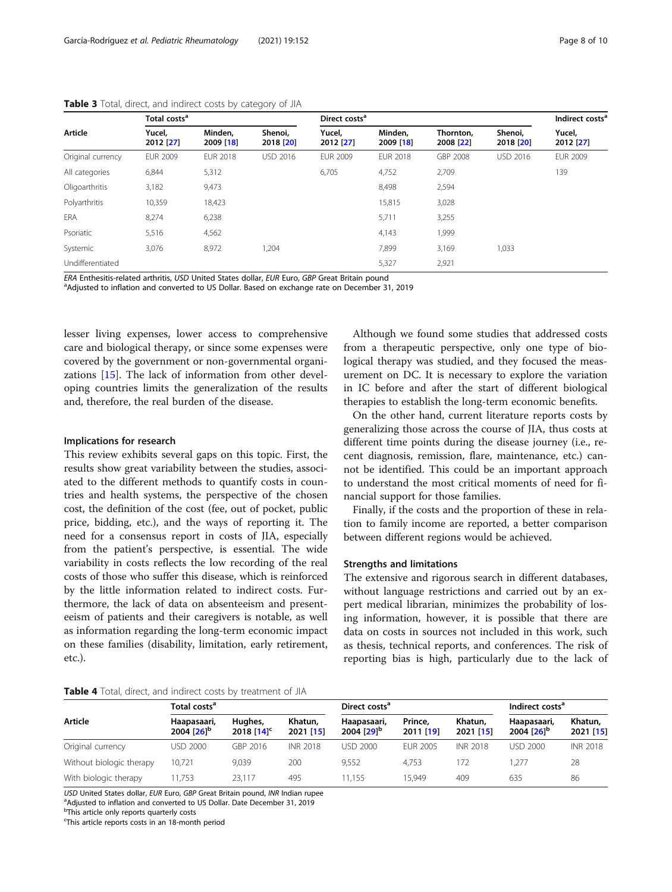|                   | Total costs <sup>a</sup> |                      |                      | Direct costs <sup>a</sup> |                      |                        |                      | Indirect costs <sup>a</sup> |
|-------------------|--------------------------|----------------------|----------------------|---------------------------|----------------------|------------------------|----------------------|-----------------------------|
| Article           | Yucel,<br>2012 [27]      | Minden.<br>2009 [18] | Shenoi.<br>2018 [20] | Yucel,<br>2012 [27]       | Minden,<br>2009 [18] | Thornton.<br>2008 [22] | Shenoi,<br>2018 [20] | Yucel,<br>2012 [27]         |
| Original currency | <b>EUR 2009</b>          | <b>EUR 2018</b>      | <b>USD 2016</b>      | <b>EUR 2009</b>           | <b>EUR 2018</b>      | GBP 2008               | <b>USD 2016</b>      | <b>EUR 2009</b>             |
| All categories    | 6,844                    | 5,312                |                      | 6,705                     | 4,752                | 2,709                  |                      | 139                         |
| Oligoarthritis    | 3,182                    | 9,473                |                      |                           | 8,498                | 2,594                  |                      |                             |
| Polyarthritis     | 10,359                   | 18,423               |                      |                           | 15,815               | 3,028                  |                      |                             |
| <b>ERA</b>        | 8,274                    | 6,238                |                      |                           | 5,711                | 3,255                  |                      |                             |
| Psoriatic         | 5,516                    | 4,562                |                      |                           | 4,143                | 1,999                  |                      |                             |
| Systemic          | 3,076                    | 8,972                | 1,204                |                           | 7,899                | 3,169                  | 1,033                |                             |
| Undifferentiated  |                          |                      |                      |                           | 5,327                | 2,921                  |                      |                             |

<span id="page-7-0"></span>Table 3 Total, direct, and indirect costs by category of JIA

ERA Enthesitis-related arthritis, USD United States dollar, EUR Euro, GBP Great Britain pound

<sup>a</sup>Adjusted to inflation and converted to US Dollar. Based on exchange rate on December 31, 2019

lesser living expenses, lower access to comprehensive care and biological therapy, or since some expenses were covered by the government or non-governmental organizations [[15](#page-9-0)]. The lack of information from other developing countries limits the generalization of the results and, therefore, the real burden of the disease.

# Implications for research

This review exhibits several gaps on this topic. First, the results show great variability between the studies, associated to the different methods to quantify costs in countries and health systems, the perspective of the chosen cost, the definition of the cost (fee, out of pocket, public price, bidding, etc.), and the ways of reporting it. The need for a consensus report in costs of JIA, especially from the patient's perspective, is essential. The wide variability in costs reflects the low recording of the real costs of those who suffer this disease, which is reinforced by the little information related to indirect costs. Furthermore, the lack of data on absenteeism and presenteeism of patients and their caregivers is notable, as well as information regarding the long-term economic impact on these families (disability, limitation, early retirement, etc.).

Although we found some studies that addressed costs from a therapeutic perspective, only one type of biological therapy was studied, and they focused the measurement on DC. It is necessary to explore the variation in IC before and after the start of different biological therapies to establish the long-term economic benefits.

On the other hand, current literature reports costs by generalizing those across the course of JIA, thus costs at different time points during the disease journey (i.e., recent diagnosis, remission, flare, maintenance, etc.) cannot be identified. This could be an important approach to understand the most critical moments of need for financial support for those families.

Finally, if the costs and the proportion of these in relation to family income are reported, a better comparison between different regions would be achieved.

#### Strengths and limitations

The extensive and rigorous search in different databases, without language restrictions and carried out by an expert medical librarian, minimizes the probability of losing information, however, it is possible that there are data on costs in sources not included in this work, such as thesis, technical reports, and conferences. The risk of reporting bias is high, particularly due to the lack of

Table 4 Total, direct, and indirect costs by treatment of JIA

|                          | Total costs <sup>a</sup>              |                            |                      | Direct costs <sup>a</sup>             |                      | Indirect costs <sup>a</sup> |                                       |                      |
|--------------------------|---------------------------------------|----------------------------|----------------------|---------------------------------------|----------------------|-----------------------------|---------------------------------------|----------------------|
| Article                  | Haapasaari,<br>2004 [26] <sup>b</sup> | Hughes,<br>2018 $[14]^{c}$ | Khatun,<br>2021 [15] | Haapasaari,<br>2004 [29] <sup>b</sup> | Prince,<br>2011 [19] | Khatun,<br>2021 [15]        | Haapasaari,<br>2004 [26] <sup>b</sup> | Khatun,<br>2021 [15] |
| Original currency        | <b>USD 2000</b>                       | GBP 2016                   | <b>INR 2018</b>      | USD 2000                              | <b>EUR 2005</b>      | INR 2018                    | <b>USD 2000</b>                       | <b>INR 2018</b>      |
| Without biologic therapy | 10.721                                | 9.039                      | 200                  | 9.552                                 | 4.753                | 72                          | .277                                  | 28                   |
| With biologic therapy    | 11.753                                | 23.117                     | 495                  | 11.155                                | 15.949               | 409                         | 635                                   | 86                   |

USD United States dollar, EUR Euro, GBP Great Britain pound, INR Indian rupee

<sup>a</sup>Adjusted to inflation and converted to US Dollar. Date December 31, 2019

**b**This article only reports quarterly costs

<sup>c</sup>This article reports costs in an 18-month period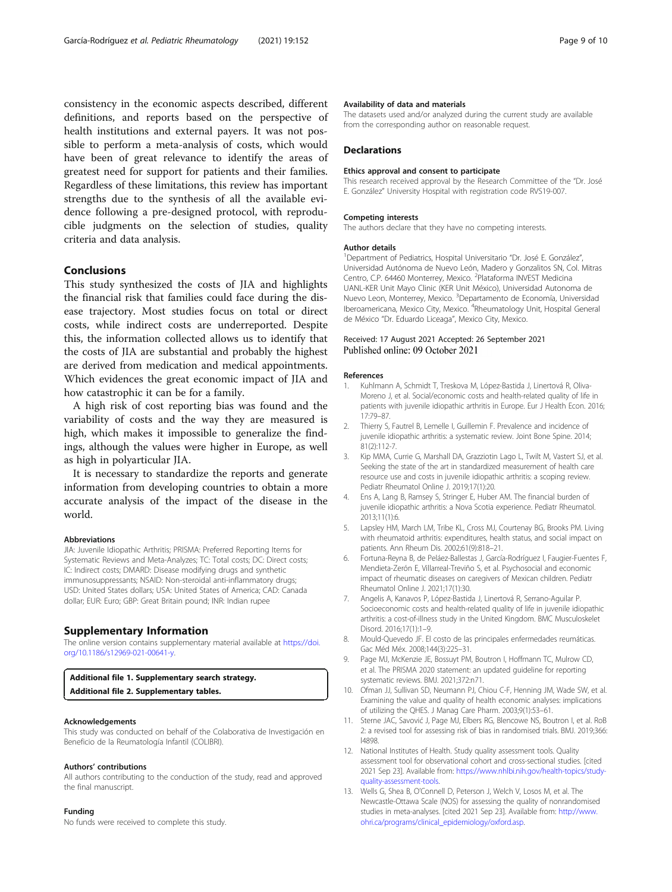<span id="page-8-0"></span>consistency in the economic aspects described, different definitions, and reports based on the perspective of health institutions and external payers. It was not possible to perform a meta-analysis of costs, which would have been of great relevance to identify the areas of greatest need for support for patients and their families. Regardless of these limitations, this review has important strengths due to the synthesis of all the available evidence following a pre-designed protocol, with reproducible judgments on the selection of studies, quality criteria and data analysis.

# Conclusions

This study synthesized the costs of JIA and highlights the financial risk that families could face during the disease trajectory. Most studies focus on total or direct costs, while indirect costs are underreported. Despite this, the information collected allows us to identify that the costs of JIA are substantial and probably the highest are derived from medication and medical appointments. Which evidences the great economic impact of JIA and how catastrophic it can be for a family.

A high risk of cost reporting bias was found and the variability of costs and the way they are measured is high, which makes it impossible to generalize the findings, although the values were higher in Europe, as well as high in polyarticular JIA.

It is necessary to standardize the reports and generate information from developing countries to obtain a more accurate analysis of the impact of the disease in the world.

#### Abbreviations

JIA: Juvenile Idiopathic Arthritis; PRISMA: Preferred Reporting Items for Systematic Reviews and Meta-Analyzes; TC: Total costs; DC: Direct costs; IC: Indirect costs; DMARD: Disease modifying drugs and synthetic immunosuppressants; NSAID: Non-steroidal anti-inflammatory drugs; USD: United States dollars; USA: United States of America; CAD: Canada dollar; EUR: Euro; GBP: Great Britain pound; INR: Indian rupee

## Supplementary Information

The online version contains supplementary material available at [https://doi.](https://doi.org/10.1186/s12969-021-00641-y) [org/10.1186/s12969-021-00641-y](https://doi.org/10.1186/s12969-021-00641-y).

# Additional file 1. Supplementary search strategy.

Additional file 2. Supplementary tables.

#### Acknowledgements

This study was conducted on behalf of the Colaborativa de Investigación en Beneficio de la Reumatología Infantil (COLIBRI).

#### Authors' contributions

All authors contributing to the conduction of the study, read and approved the final manuscript.

#### Funding

No funds were received to complete this study.

# Availability of data and materials

The datasets used and/or analyzed during the current study are available from the corresponding author on reasonable request.

#### **Declarations**

#### Ethics approval and consent to participate

This research received approval by the Research Committee of the "Dr. José E. González" University Hospital with registration code RVS19-007.

#### Competing interests

The authors declare that they have no competing interests.

#### Author details

<sup>1</sup> Department of Pediatrics, Hospital Universitario "Dr. José E. González", Universidad Autónoma de Nuevo León, Madero y Gonzalitos SN, Col. Mitras Centro, C.P. 64460 Monterrey, Mexico. <sup>2</sup>Plataforma INVEST Medicina UANL-KER Unit Mayo Clinic (KER Unit México), Universidad Autonoma de Nuevo Leon, Monterrey, Mexico. <sup>3</sup>Departamento de Economía, Universidad Iberoamericana, Mexico City, Mexico. <sup>4</sup>Rheumatology Unit, Hospital General de México "Dr. Eduardo Liceaga", Mexico City, Mexico.

# Received: 17 August 2021 Accepted: 26 September 2021 Published online: 09 October 2021

#### References

- 1. Kuhlmann A, Schmidt T, Treskova M, López-Bastida J, Linertová R, Oliva-Moreno J, et al. Social/economic costs and health-related quality of life in patients with juvenile idiopathic arthritis in Europe. Eur J Health Econ. 2016; 17:79–87.
- 2. Thierry S, Fautrel B, Lemelle I, Guillemin F. Prevalence and incidence of juvenile idiopathic arthritis: a systematic review. Joint Bone Spine. 2014; 81(2):112-7.
- 3. Kip MMA, Currie G, Marshall DA, Grazziotin Lago L, Twilt M, Vastert SJ, et al. Seeking the state of the art in standardized measurement of health care resource use and costs in juvenile idiopathic arthritis: a scoping review. Pediatr Rheumatol Online J. 2019;17(1):20.
- 4. Ens A, Lang B, Ramsey S, Stringer E, Huber AM. The financial burden of juvenile idiopathic arthritis: a Nova Scotia experience. Pediatr Rheumatol. 2013;11(1):6.
- 5. Lapsley HM, March LM, Tribe KL, Cross MJ, Courtenay BG, Brooks PM. Living with rheumatoid arthritis: expenditures, health status, and social impact on patients. Ann Rheum Dis. 2002;61(9):818–21.
- 6. Fortuna-Reyna B, de Peláez-Ballestas J, García-Rodríguez I, Faugier-Fuentes F, Mendieta-Zerón E, Villarreal-Treviño S, et al. Psychosocial and economic impact of rheumatic diseases on caregivers of Mexican children. Pediatr Rheumatol Online J. 2021;17(1):30.
- 7. Angelis A, Kanavos P, López-Bastida J, Linertová R, Serrano-Aguilar P. Socioeconomic costs and health-related quality of life in juvenile idiopathic arthritis: a cost-of-illness study in the United Kingdom. BMC Musculoskelet Disord. 2016;17(1):1–9.
- Mould-Quevedo JF. El costo de las principales enfermedades reumáticas. Gac Méd Méx. 2008;144(3):225–31.
- 9. Page MJ, McKenzie JE, Bossuyt PM, Boutron I, Hoffmann TC, Mulrow CD, et al. The PRISMA 2020 statement: an updated guideline for reporting systematic reviews. BMJ. 2021;372:n71.
- 10. Ofman JJ, Sullivan SD, Neumann PJ, Chiou C-F, Henning JM, Wade SW, et al. Examining the value and quality of health economic analyses: implications of utilizing the QHES. J Manag Care Pharm. 2003;9(1):53–61.
- 11. Sterne JAC, Savović J, Page MJ, Elbers RG, Blencowe NS, Boutron I, et al. RoB 2: a revised tool for assessing risk of bias in randomised trials. BMJ. 2019;366: l4898.
- 12. National Institutes of Health. Study quality assessment tools. Quality assessment tool for observational cohort and cross-sectional studies. [cited 2021 Sep 23]. Available from: [https://www.nhlbi.nih.gov/health-topics/study](https://www.nhlbi.nih.gov/health-topics/study-quality-assessment-tools)[quality-assessment-tools.](https://www.nhlbi.nih.gov/health-topics/study-quality-assessment-tools)
- 13. Wells G, Shea B, O'Connell D, Peterson J, Welch V, Losos M, et al. The Newcastle-Ottawa Scale (NOS) for assessing the quality of nonrandomised studies in meta-analyses. [cited 2021 Sep 23]. Available from: [http://www.](http://www.ohri.ca/programs/clinical_epidemiology/oxford.asp) [ohri.ca/programs/clinical\\_epidemiology/oxford.asp](http://www.ohri.ca/programs/clinical_epidemiology/oxford.asp).